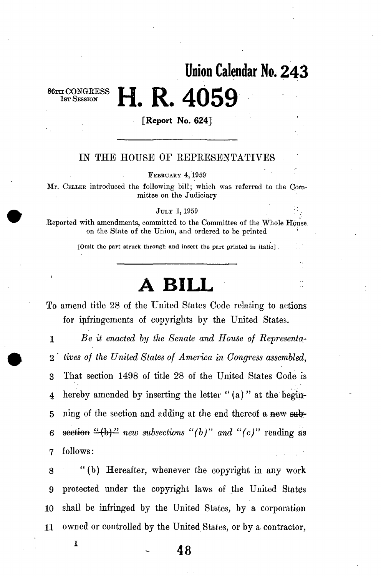**Union Calendar No. 24 3** 

86TH CONGRESS 1st Session

**[Report No. 624]** 

**H.R.4059** 

## IN THE HOUSE OF REPRESENTATIVES

FEBRUARY 4, 1959

Mr. CELLER introduced the following bill; which was referred to the Committee on the Judiciary

JULY 1, 1959

Reported with amendments, committed to the Committee of the Whole Hoiise on the State of the Union, and ordered to be printed

[Omit the part struck through and insert the part printed in italic] .

## **A BILL**

To amend title 28 of the United States Code relating to actions for infringements of copyrights by the United States.

1 *Be it enacted by the Senate and House of Representa-*2 *tives of the United States of America in Congress assembled,*  3 That section 1498 of title 28 of the United States Code is 4 hereby amended by inserting the letter " (a)'" at the begin-5 ning of the section and adding at the end thereof  $\bf{a}$  new sub-6 section  $\frac{d^2(b)}{b}$  *new subsections* "(b)" and "(c)" reading as 7 follows:

8 "(b) Hereafter, whenever the copyright in any work 9 protected under the copyright laws of the United States 10 shall be infringed by the United States, by a corporation 11 owned or controlled by the United States, or by a contractor,

I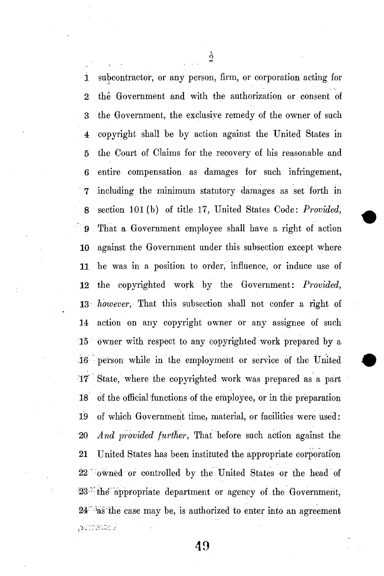i subcontractor, or any person, firm, or corporation acting for 2 the Government and with the authorization or consent of 3 the Government, the exclusive remedy of the owner of such 4 copyright shall be by action against the United States in 5 the Court of Claims for the recovery of his reasonable and 6 entire compensation as damages for such infringement, 7 including the minimum statutory damages as set forth in 8 section 101(b) of title 17, United States Code: *Provided,*  9 That a Government employee shall have a right of action 10 against the Government under this subsection except where 11 he was in a position to order, influence, or induce use of 12 the copyrighted work by the Government: *Provided,*  13 *however,* That this subsection shall not confer a right of 14 action on any copyright owner or any assignee of such 15 owner with respect to any copyrighted work prepared by a 16 person while in the employment or service of the United 17' State, where the copyi'ighted work was prepared as a part 18 of the official functions of the employee, or in the preparation 19 of which Government time, material, or facilities were used: '20 *And provided further,* That before such action against the 21 United States has been instituted the appropriate corporation 22 "owned or controlled by the United States or the head of 23<sup>3</sup> the appropriate department or agency of the Government, 24 Was the case may be, is authorized to enter into an agreement ACIOBIDO 3

**49**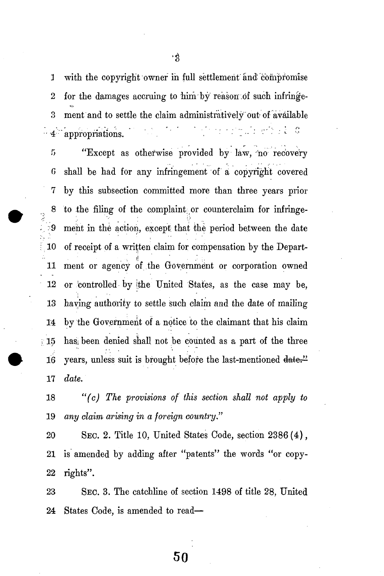1 with the copyright owner in full settlement and compromise 2 for the damages accruing to him by reason .of such infringe-8 ment and to settle the claim administratively out- of available  $\frac{1}{2}$  4 appropriations.  $\frac{1}{2}$   $\frac{1}{2}$   $\frac{1}{2}$   $\frac{1}{2}$   $\frac{1}{2}$   $\frac{1}{2}$   $\frac{1}{2}$   $\frac{1}{2}$   $\frac{1}{2}$   $\frac{1}{2}$ 

f> "Except as otherwise provided by law, 'no recovery 0 shall be had for any infringement of a copyright covered 7 by this subsection committed more than three years prior 8 to the filing of the complaint; or counterclaim for infringe- :9 ment in the action, except that the period between the date 10 of receipt of a written claim for compensation by the Depart-11 ment or agency of the Government or corporation owned 12 or controlled by the United States, as the case may be, 13 haying authority to settle such claim and the date of mailing 14 by the Government of a notice to the claimant that his claim 15 has been denied shall not be counted as a part of the three 16 years, unless suit is brought before the last-mentioned date." 17 *date.* 

18 *"(c) The provisions of this section shall not apply to*  19 *any claim arising in a foreign country"* 

20 SEC. 2. Title 10, United States Code, section 2386 (4), 21 is amended by adding after "patents" the words "or copy-22 rights".

23 SEC. 3. The catchline of section 1498 of title 28, United 24 States Code, is amended to read—

**50**